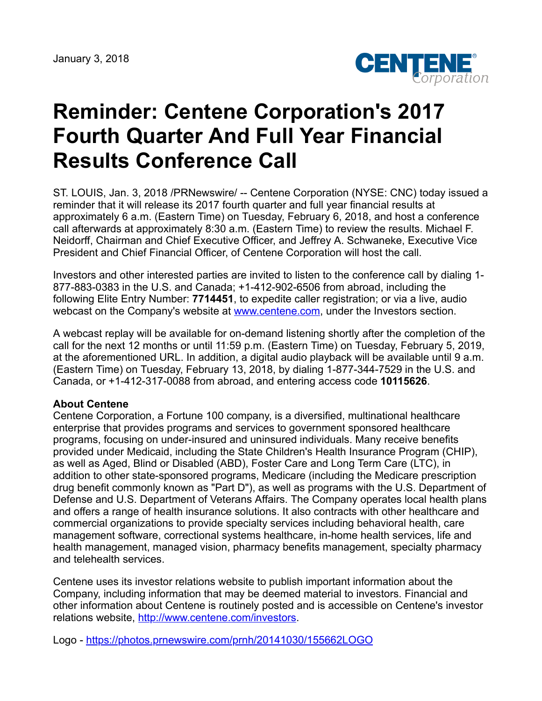

## **Reminder: Centene Corporation's 2017 Fourth Quarter And Full Year Financial Results Conference Call**

ST. LOUIS, Jan. 3, 2018 /PRNewswire/ -- Centene Corporation (NYSE: CNC) today issued a reminder that it will release its 2017 fourth quarter and full year financial results at approximately 6 a.m. (Eastern Time) on Tuesday, February 6, 2018, and host a conference call afterwards at approximately 8:30 a.m. (Eastern Time) to review the results. Michael F. Neidorff, Chairman and Chief Executive Officer, and Jeffrey A. Schwaneke, Executive Vice President and Chief Financial Officer, of Centene Corporation will host the call.

Investors and other interested parties are invited to listen to the conference call by dialing 1- 877-883-0383 in the U.S. and Canada; +1-412-902-6506 from abroad, including the following Elite Entry Number: **7714451**, to expedite caller registration; or via a live, audio webcast on the Company's website at [www.centene.com,](http://www.centene.com/) under the Investors section.

A webcast replay will be available for on-demand listening shortly after the completion of the call for the next 12 months or until 11:59 p.m. (Eastern Time) on Tuesday, February 5, 2019, at the aforementioned URL. In addition, a digital audio playback will be available until 9 a.m. (Eastern Time) on Tuesday, February 13, 2018, by dialing 1-877-344-7529 in the U.S. and Canada, or +1-412-317-0088 from abroad, and entering access code **10115626**.

## **About Centene**

Centene Corporation, a Fortune 100 company, is a diversified, multinational healthcare enterprise that provides programs and services to government sponsored healthcare programs, focusing on under-insured and uninsured individuals. Many receive benefits provided under Medicaid, including the State Children's Health Insurance Program (CHIP), as well as Aged, Blind or Disabled (ABD), Foster Care and Long Term Care (LTC), in addition to other state-sponsored programs, Medicare (including the Medicare prescription drug benefit commonly known as "Part D"), as well as programs with the U.S. Department of Defense and U.S. Department of Veterans Affairs. The Company operates local health plans and offers a range of health insurance solutions. It also contracts with other healthcare and commercial organizations to provide specialty services including behavioral health, care management software, correctional systems healthcare, in-home health services, life and health management, managed vision, pharmacy benefits management, specialty pharmacy and telehealth services.

Centene uses its investor relations website to publish important information about the Company, including information that may be deemed material to investors. Financial and other information about Centene is routinely posted and is accessible on Centene's investor relations website, <http://www.centene.com/investors>.

Logo - <https://photos.prnewswire.com/prnh/20141030/155662LOGO>